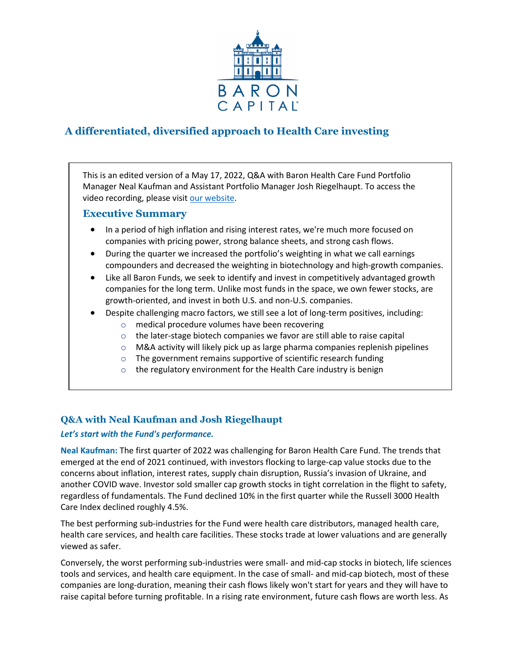

# **A differentiated, diversified approach to Health Care investing**

This is an edited version of a May 17, 2022, Q&A with Baron Health Care Fund Portfolio Manager Neal Kaufman and Assistant Portfolio Manager Josh Riegelhaupt. To access the video recording, please visit [our website.](https://www.baronfunds.com/insights/conference-calls)

# **Executive Summary**

- In a period of high inflation and rising interest rates, we're much more focused on companies with pricing power, strong balance sheets, and strong cash flows.
- During the quarter we increased the portfolio's weighting in what we call earnings compounders and decreased the weighting in biotechnology and high-growth companies.
- Like all Baron Funds, we seek to identify and invest in competitively advantaged growth companies for the long term. Unlike most funds in the space, we own fewer stocks, are growth-oriented, and invest in both U.S. and non-U.S. companies.
- Despite challenging macro factors, we still see a lot of long-term positives, including:
	- o medical procedure volumes have been recovering
	- o the later-stage biotech companies we favor are still able to raise capital
	- o M&A activity will likely pick up as large pharma companies replenish pipelines
	- o The government remains supportive of scientific research funding
	- $\circ$  the regulatory environment for the Health Care industry is benign

# **Q&A with Neal Kaufman and Josh Riegelhaupt**

# *Let's start with the Fund's performance.*

**Neal Kaufman:** The first quarter of 2022 was challenging for Baron Health Care Fund. The trends that emerged at the end of 2021 continued, with investors flocking to large-cap value stocks due to the concerns about inflation, interest rates, supply chain disruption, Russia's invasion of Ukraine, and another COVID wave. Investor sold smaller cap growth stocks in tight correlation in the flight to safety, regardless of fundamentals. The Fund declined 10% in the first quarter while the Russell 3000 Health Care Index declined roughly 4.5%.

The best performing sub-industries for the Fund were health care distributors, managed health care, health care services, and health care facilities. These stocks trade at lower valuations and are generally viewed as safer.

Conversely, the worst performing sub-industries were small- and mid-cap stocks in biotech, life sciences tools and services, and health care equipment. In the case of small- and mid-cap biotech, most of these companies are long-duration, meaning their cash flows likely won't start for years and they will have to raise capital before turning profitable. In a rising rate environment, future cash flows are worth less. As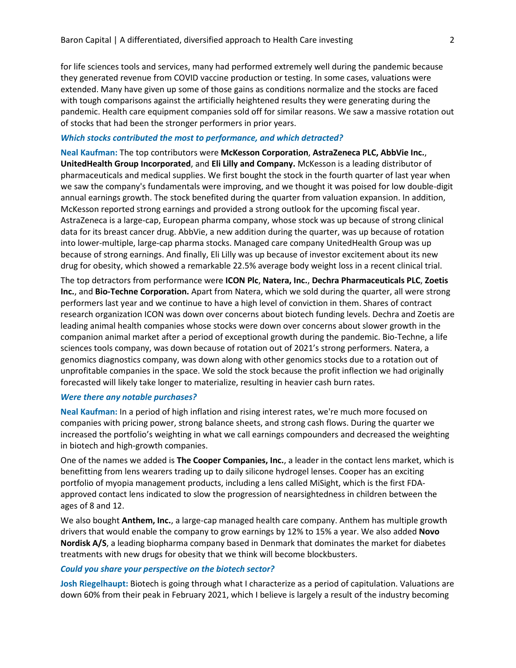for life sciences tools and services, many had performed extremely well during the pandemic because they generated revenue from COVID vaccine production or testing. In some cases, valuations were extended. Many have given up some of those gains as conditions normalize and the stocks are faced with tough comparisons against the artificially heightened results they were generating during the pandemic. Health care equipment companies sold off for similar reasons. We saw a massive rotation out of stocks that had been the stronger performers in prior years.

### *Which stocks contributed the most to performance, and which detracted?*

**Neal Kaufman:** The top contributors were **McKesson Corporation**, **AstraZeneca PLC, AbbVie Inc.**, **UnitedHealth Group Incorporated**, and **Eli Lilly and Company.** McKesson is a leading distributor of pharmaceuticals and medical supplies. We first bought the stock in the fourth quarter of last year when we saw the company's fundamentals were improving, and we thought it was poised for low double-digit annual earnings growth. The stock benefited during the quarter from valuation expansion. In addition, McKesson reported strong earnings and provided a strong outlook for the upcoming fiscal year. AstraZeneca is a large-cap, European pharma company, whose stock was up because of strong clinical data for its breast cancer drug. AbbVie, a new addition during the quarter, was up because of rotation into lower-multiple, large-cap pharma stocks. Managed care company UnitedHealth Group was up because of strong earnings. And finally, Eli Lilly was up because of investor excitement about its new drug for obesity, which showed a remarkable 22.5% average body weight loss in a recent clinical trial.

The top detractors from performance were **ICON Plc**, **Natera, Inc.**, **Dechra Pharmaceuticals PLC**, **Zoetis Inc.**, and **Bio-Techne Corporation.** Apart from Natera, which we sold during the quarter, all were strong performers last year and we continue to have a high level of conviction in them. Shares of contract research organization ICON was down over concerns about biotech funding levels. Dechra and Zoetis are leading animal health companies whose stocks were down over concerns about slower growth in the companion animal market after a period of exceptional growth during the pandemic. Bio-Techne, a life sciences tools company, was down because of rotation out of 2021's strong performers. Natera, a genomics diagnostics company, was down along with other genomics stocks due to a rotation out of unprofitable companies in the space. We sold the stock because the profit inflection we had originally forecasted will likely take longer to materialize, resulting in heavier cash burn rates.

#### *Were there any notable purchases?*

**Neal Kaufman:** In a period of high inflation and rising interest rates, we're much more focused on companies with pricing power, strong balance sheets, and strong cash flows. During the quarter we increased the portfolio's weighting in what we call earnings compounders and decreased the weighting in biotech and high-growth companies.

One of the names we added is **The Cooper Companies, Inc.**, a leader in the contact lens market, which is benefitting from lens wearers trading up to daily silicone hydrogel lenses. Cooper has an exciting portfolio of myopia management products, including a lens called MiSight, which is the first FDAapproved contact lens indicated to slow the progression of nearsightedness in children between the ages of 8 and 12.

We also bought **Anthem, Inc.**, a large-cap managed health care company. Anthem has multiple growth drivers that would enable the company to grow earnings by 12% to 15% a year. We also added **Novo Nordisk A/S**, a leading biopharma company based in Denmark that dominates the market for diabetes treatments with new drugs for obesity that we think will become blockbusters.

#### *Could you share your perspective on the biotech sector?*

**Josh Riegelhaupt:** Biotech is going through what I characterize as a period of capitulation. Valuations are down 60% from their peak in February 2021, which I believe is largely a result of the industry becoming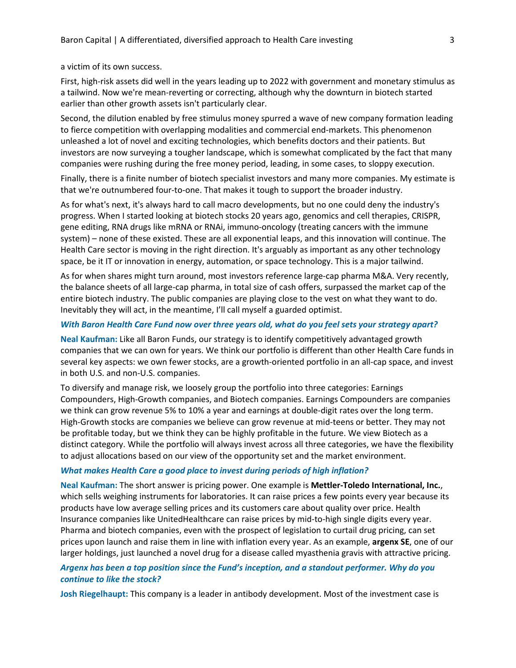a victim of its own success.

First, high-risk assets did well in the years leading up to 2022 with government and monetary stimulus as a tailwind. Now we're mean-reverting or correcting, although why the downturn in biotech started earlier than other growth assets isn't particularly clear.

Second, the dilution enabled by free stimulus money spurred a wave of new company formation leading to fierce competition with overlapping modalities and commercial end-markets. This phenomenon unleashed a lot of novel and exciting technologies, which benefits doctors and their patients. But investors are now surveying a tougher landscape, which is somewhat complicated by the fact that many companies were rushing during the free money period, leading, in some cases, to sloppy execution.

Finally, there is a finite number of biotech specialist investors and many more companies. My estimate is that we're outnumbered four-to-one. That makes it tough to support the broader industry.

As for what's next, it's always hard to call macro developments, but no one could deny the industry's progress. When I started looking at biotech stocks 20 years ago, genomics and cell therapies, CRISPR, gene editing, RNA drugs like mRNA or RNAi, immuno-oncology (treating cancers with the immune system) – none of these existed. These are all exponential leaps, and this innovation will continue. The Health Care sector is moving in the right direction. It's arguably as important as any other technology space, be it IT or innovation in energy, automation, or space technology. This is a major tailwind.

As for when shares might turn around, most investors reference large-cap pharma M&A. Very recently, the balance sheets of all large-cap pharma, in total size of cash offers, surpassed the market cap of the entire biotech industry. The public companies are playing close to the vest on what they want to do. Inevitably they will act, in the meantime, I'll call myself a guarded optimist.

#### *With Baron Health Care Fund now over three years old, what do you feel sets your strategy apart?*

**Neal Kaufman:** Like all Baron Funds, our strategy is to identify competitively advantaged growth companies that we can own for years. We think our portfolio is different than other Health Care funds in several key aspects: we own fewer stocks, are a growth-oriented portfolio in an all-cap space, and invest in both U.S. and non-U.S. companies.

To diversify and manage risk, we loosely group the portfolio into three categories: Earnings Compounders, High-Growth companies, and Biotech companies. Earnings Compounders are companies we think can grow revenue 5% to 10% a year and earnings at double-digit rates over the long term. High-Growth stocks are companies we believe can grow revenue at mid-teens or better. They may not be profitable today, but we think they can be highly profitable in the future. We view Biotech as a distinct category. While the portfolio will always invest across all three categories, we have the flexibility to adjust allocations based on our view of the opportunity set and the market environment.

#### *What makes Health Care a good place to invest during periods of high inflation?*

**Neal Kaufman:** The short answer is pricing power. One example is **Mettler-Toledo International, Inc.**, which sells weighing instruments for laboratories. It can raise prices a few points every year because its products have low average selling prices and its customers care about quality over price. Health Insurance companies like UnitedHealthcare can raise prices by mid-to-high single digits every year. Pharma and biotech companies, even with the prospect of legislation to curtail drug pricing, can set prices upon launch and raise them in line with inflation every year. As an example, **argenx SE**, one of our larger holdings, just launched a novel drug for a disease called myasthenia gravis with attractive pricing.

## *Argenx has been a top position since the Fund's inception, and a standout performer. Why do you continue to like the stock?*

**Josh Riegelhaupt:** This company is a leader in antibody development. Most of the investment case is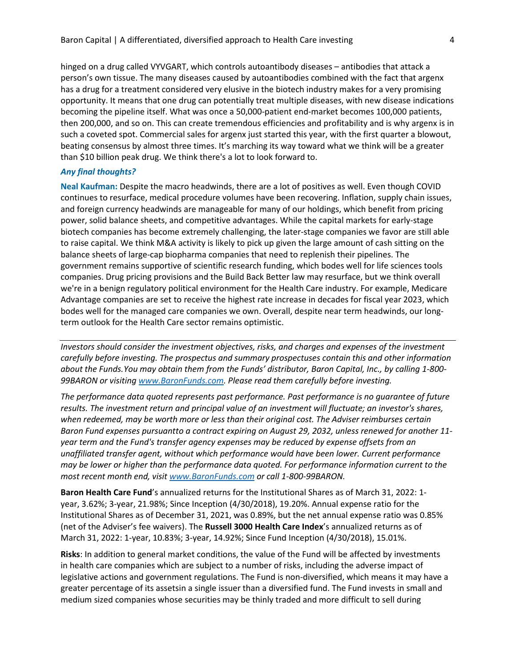hinged on a drug called VYVGART, which controls autoantibody diseases – antibodies that attack a person's own tissue. The many diseases caused by autoantibodies combined with the fact that argenx has a drug for a treatment considered very elusive in the biotech industry makes for a very promising opportunity. It means that one drug can potentially treat multiple diseases, with new disease indications becoming the pipeline itself. What was once a 50,000-patient end-market becomes 100,000 patients, then 200,000, and so on. This can create tremendous efficiencies and profitability and is why argenx is in such a coveted spot. Commercial sales for argenx just started this year, with the first quarter a blowout, beating consensus by almost three times. It's marching its way toward what we think will be a greater than \$10 billion peak drug. We think there's a lot to look forward to.

#### *Any final thoughts?*

**Neal Kaufman:** Despite the macro headwinds, there are a lot of positives as well. Even though COVID continues to resurface, medical procedure volumes have been recovering. Inflation, supply chain issues, and foreign currency headwinds are manageable for many of our holdings, which benefit from pricing power, solid balance sheets, and competitive advantages. While the capital markets for early-stage biotech companies has become extremely challenging, the later-stage companies we favor are still able to raise capital. We think M&A activity is likely to pick up given the large amount of cash sitting on the balance sheets of large-cap biopharma companies that need to replenish their pipelines. The government remains supportive of scientific research funding, which bodes well for life sciences tools companies. Drug pricing provisions and the Build Back Better law may resurface, but we think overall we're in a benign regulatory political environment for the Health Care industry. For example, Medicare Advantage companies are set to receive the highest rate increase in decades for fiscal year 2023, which bodes well for the managed care companies we own. Overall, despite near term headwinds, our longterm outlook for the Health Care sector remains optimistic.

*Investors should consider the investment objectives, risks, and charges and expenses of the investment carefully before investing. The prospectus and summary prospectuses contain this and other information about the Funds.You may obtain them from the Funds' distributor, Baron Capital, Inc., by calling 1-800- 99BARON or visiting [www.BaronFunds.com. P](http://www.baronfunds.com/)lease read them carefully before investing.*

*The performance data quoted represents past performance. Past performance is no guarantee of future results. The investment return and principal value of an investment will fluctuate; an investor's shares, when redeemed, may be worth more or less than their original cost. The Adviser reimburses certain Baron Fund expenses pursuantto a contract expiring on August 29, 2032, unless renewed for another 11 year term and the Fund's transfer agency expenses may be reduced by expense offsets from an unaffiliated transfer agent, without which performance would have been lower. Current performance may be lower or higher than the performance data quoted. For performance information current to the most recent month end, visit [www.BaronFunds.com](http://www.baronfunds.com/) or call 1-800-99BARON.*

**Baron Health Care Fund**'s annualized returns for the Institutional Shares as of March 31, 2022: 1 year, 3.62%; 3-year, 21.98%; Since Inception (4/30/2018), 19.20%. Annual expense ratio for the Institutional Shares as of December 31, 2021, was 0.89%, but the net annual expense ratio was 0.85% (net of the Adviser's fee waivers). The **Russell 3000 Health Care Index**'s annualized returns as of March 31, 2022: 1-year, 10.83%; 3-year, 14.92%; Since Fund Inception (4/30/2018), 15.01%.

**Risks**: In addition to general market conditions, the value of the Fund will be affected by investments in health care companies which are subject to a number of risks, including the adverse impact of legislative actions and government regulations. The Fund is non-diversified, which means it may have a greater percentage of its assetsin a single issuer than a diversified fund. The Fund invests in small and medium sized companies whose securities may be thinly traded and more difficult to sell during